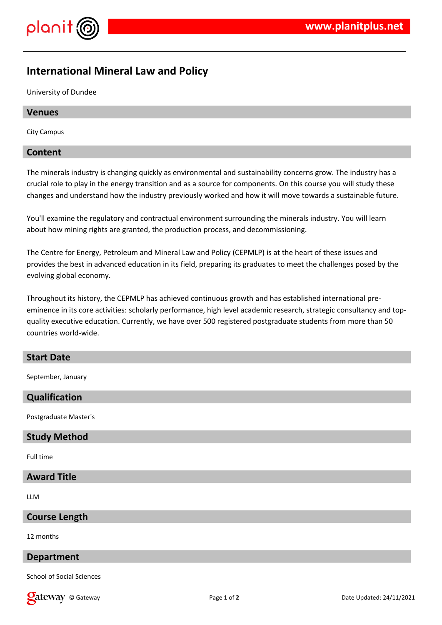

# **International Mineral Law and Policy**

University of Dundee

## **Venues**

City Campus

#### **Content**

The minerals industry is changing quickly as environmental and sustainability concerns grow. The industry has a crucial role to play in the energy transition and as a source for components. On this course you will study these changes and understand how the industry previously worked and how it will move towards a sustainable future.

You'll examine the regulatory and contractual environment surrounding the minerals industry. You will learn about how mining rights are granted, the production process, and decommissioning.

The Centre for Energy, Petroleum and Mineral Law and Policy (CEPMLP) is at the heart of these issues and provides the best in advanced education in its field, preparing its graduates to meet the challenges posed by the evolving global economy.

Throughout its history, the CEPMLP has achieved continuous growth and has established international preeminence in its core activities: scholarly performance, high level academic research, strategic consultancy and topquality executive education. Currently, we have over 500 registered postgraduate students from more than 50 countries world-wide.

## **Start Date**

September, January

# **Qualification**

Postgraduate Master's

## **Study Method**

Full time

## **Award Title**

LLM

#### **Course Length**

12 months

## **Department**

School of Social Sciences

**Callet Way** © Gateway **Page 1** of 2 **Date Updated: 24/11/2021 Date Updated: 24/11/2021**